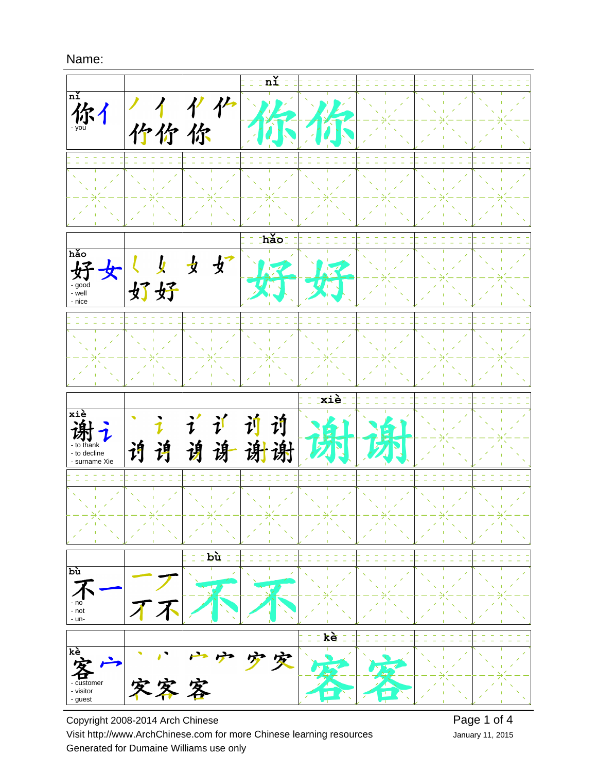

Copyright 2008-2014 Arch Chinese Visit http://www.ArchChinese.com for more Chinese learning resources Generated for Dumaine Williams use only

January 11, 2015 Page 1 of 4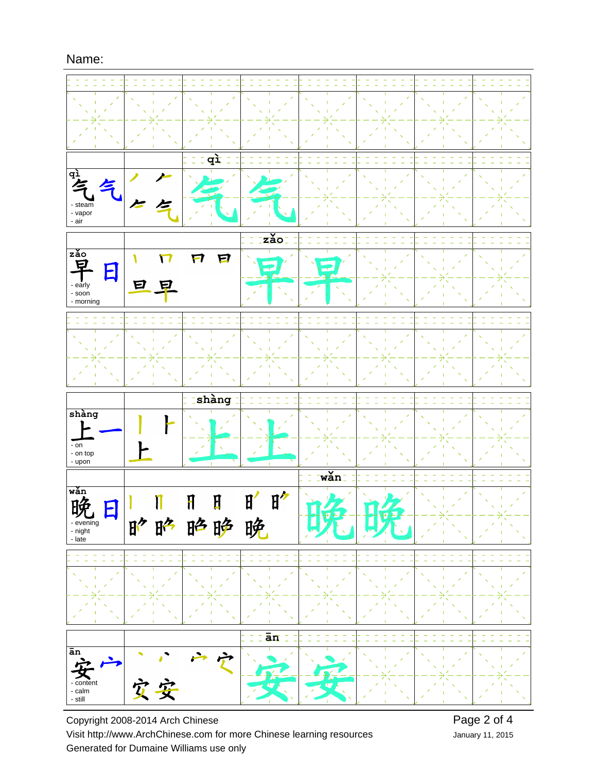

Copyright 2008-2014 Arch Chinese Visit http://www.ArchChinese.com for more Chinese learning resources Generated for Dumaine Williams use only

January 11, 2015 Page 2 of 4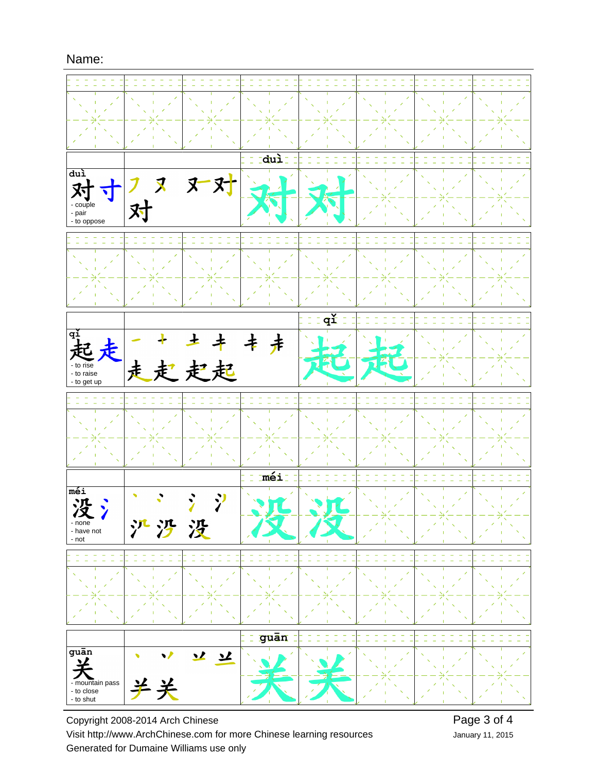

Copyright 2008-2014 Arch Chinese Visit http://www.ArchChinese.com for more Chinese learning resources Generated for Dumaine Williams use only

January 11, 2015 Page 3 of 4